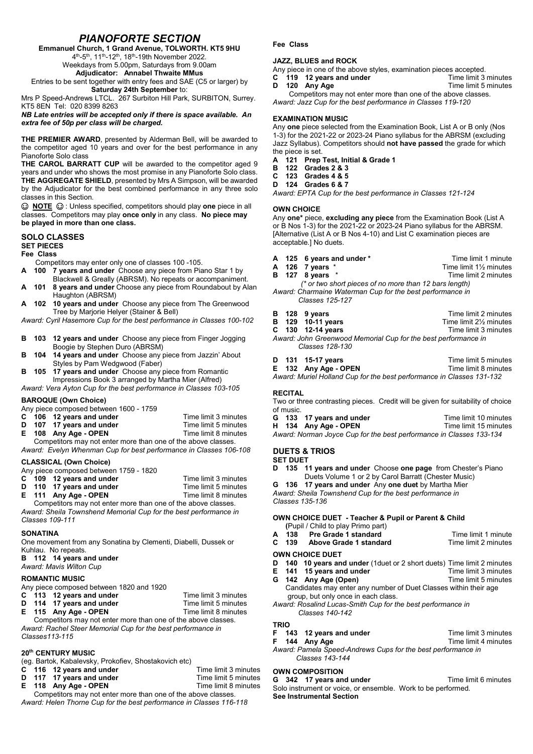# *PIANOFORTE SECTION*

Emmanuel Church, 1 Grand Avenue, TOLWORTH. KT5 9HU

4<sup>th</sup>-5<sup>th</sup>, 11<sup>th</sup>-12<sup>th</sup>, 18<sup>th</sup>-19th November 2022.

Weekdays from 5.00pm, Saturdays from 9.00am Adjudicator: Annabel Thwaite MMus

Entries to be sent together with entry fees and SAE (C5 or larger) by Saturday 24th September to:

Mrs P Speed-Andrews LTCL. 267 Surbiton Hill Park, SURBITON, Surrey. KT5 8EN Tel: 020 8399 8263

*NB Late entries will be accepted only if there is space available. An extra fee of 50p per class will be charged.*

THE PREMIER AWARD, presented by Alderman Bell, will be awarded to the competitor aged 10 years and over for the best performance in any Pianoforte Solo class

THE CAROL BARRATT CUP will be awarded to the competitor aged 9 years and under who shows the most promise in any Pianoforte Solo class. THE AGGREGATE SHIELD, presented by Mrs A Simpson, will be awarded by the Adjudicator for the best combined performance in any three solo classes in this Section.

**E** NOTE  $\odot$  : Unless specified, competitors should play one piece in all classes. Competitors may play once only in any class. No piece may be played in more than one class.

### SOLO CLASSES

SET PIECES

# Fee Class

Competitors may enter only one of classes 100 -105.

- A 100 7 years and under Choose any piece from Piano Star 1 by Blackwell & Greally (ABRSM). No repeats or accompaniment.
- A 101 8 years and under Choose any piece from Roundabout by Alan Haughton (ABRSM)
- A 102 10 years and under Choose any piece from The Greenwood Tree by Marjorie Helyer (Stainer & Bell)

*Award: Cyril Hasemore Cup for the best performance in Classes 100-102*

- B 103 12 years and under Choose any piece from Finger Jogging Boogie by Stephen Duro (ABRSM)
- B 104 14 years and under Choose any piece from Jazzin' About Styles by Pam Wedgwood (Faber)
- B 105 17 years and under Choose any piece from Romantic Impressions Book 3 arranged by Martha Mier (Alfred)

*Award: Vera Ayton Cup for the best performance in Classes 103-105*

# BAROQUE (Own Choice)

Any piece composed between 1600 - 1759<br>C 106 12 years and under

- 
- C 106 12 years and under Time limit 3 minutes<br>
D 107 17 years and under Time limit 5 minutes 17 years and under Time limit 5 minutes<br>
Any Age - OPFN Time limit 8 minutes
- $E$  108 Any Age OPEN

Competitors may not enter more than one of the above classes. *Award: Evelyn Whenman Cup for best performance in Classes 106-108*

# CLASSICAL (Own Choice)

Any piece composed between 1759 - 1820

- C 109 12 years and under Time limit 3 minutes<br>
D 110 17 years and under Time limit 5 minutes
- D 110 17 years and under<br>
E 111 Any Age OPEN Time limit 8 minutes
- $E$  111 Any Age OPEN
- 

Competitors may not enter more than one of the above classes. *Award: Sheila Townshend Memorial Cup for the best performance in Classes 109-111*

# **SONATINA**

One movement from any Sonatina by Clementi, Diabelli, Dussek or Kuhlau. No repeats.

# B 112 14 years and under

*Award: Mavis Wilton Cup* 

# ROMANTIC MUSIC

Any piece composed between 1820 and 1920

- C 113 12 years and under Time limit 3 minutes<br>
D 114 17 years and under Time limit 5 minutes
- 114 17 years and under Time limit 5 minutes<br>115 Any Age OPEN Time limit 8 minutes
- $E$  115 Any Age OPEN

Competitors may not enter more than one of the above classes. *Award: Rachel Steer Memorial Cup for the best performance in Classes113-115*

# 20th CENTURY MUSIC

(eg. Bartok, Kabalevsky, Prokofiev, Shostakovich etc)

- C 116 12 years and under Time limit 3 minutes
- D 117 17 years and under Time limit 5 minutes
- E 118 Any Age OPEN Time limit 8 minutes
- Competitors may not enter more than one of the above classes. *Award: Helen Thorne Cup for the best performance in Classes 116-118*

#### Fee Class

#### JAZZ, BLUES and ROCK

- Any piece in one of the above styles, examination pieces accepted.<br>**C** 119 12 years and under Time limit 3 minutes  $C = 119$  12 years and under<br>D 120 Anv Age
	- Time limit 5 minutes

Competitors may not enter more than one of the above classes. *Award: Jazz Cup for the best performance in Classes 119-120*

### EXAMINATION MUSIC

Any one piece selected from the Examination Book, List A or B only (Nos 1-3) for the 2021-22 or 2023-24 Piano syllabus for the ABRSM (excluding Jazz Syllabus). Competitors should not have passed the grade for which the piece is set.

A 121 Prep Test, Initial & Grade 1<br>B 122 Grades 2 & 3

- **B** 122 Grades 2 & 3<br>C 123 Grades 4 & 5
- C 123 Grades 4 & 5
- D 124 Grades 6 & 7

*Award: EPTA Cup for the best performance in Classes 121-124*

#### OWN CHOICE

Any one\* piece, excluding any piece from the Examination Book (List A or B Nos 1-3) for the 2021-22 or 2023-24 Piano syllabus for the ABRSM. [Alternative (List A or B Nos 4-10) and List C examination pieces are acceptable.] No duets.

- A 125 6 years and under \* Time limit 1 minute<br>
A 126 7 years \* Time limit 11/<sub>2</sub> minutes
- A 126 7 years \* Time limit 1½ minutes
- B 127 8 years \* Time limit 2 minutes

 *(\* or two short pieces of no more than 12 bars length) Award: Charmaine Waterman Cup for the best performance in Classes 125-127*

- **B** 128 9 years **B** 128 129 10-11 years **Time limit 2** minutes Time limit  $2\frac{1}{2}$  minutes<br>Time limit 3 minutes  $C$  130 12-14 years
- *Award: John Greenwood Memorial Cup for the best performance in Classes 128-130*

|  | D 131 15-17 years                                                     | Time limit 5 minutes |
|--|-----------------------------------------------------------------------|----------------------|
|  | E 132 Any Age - OPEN                                                  | Time limit 8 minutes |
|  | Award: Muriel Holland Cup for the best performance in Classes 131-132 |                      |

#### RECITAL

Two or three contrasting pieces. Credit will be given for suitability of choice of music.

|                                                                     |  | G 133 17 years and under | Time limit 10 minutes |
|---------------------------------------------------------------------|--|--------------------------|-----------------------|
|                                                                     |  | H 134 Any Age - OPEN     | Time limit 15 minutes |
| Award: Norman Joyce Cup for the best performance in Classes 133-134 |  |                          |                       |

#### DUETS & TRIOS

#### SET DUET

D 135 11 years and under Choose one page from Chester's Piano Duets Volume 1 or 2 by Carol Barratt (Chester Music)

G 136 17 years and under Any one duet by Martha Mier *Award: Sheila Townshend Cup for the best performance in Classes 135-136*

### OWN CHOICE DUET - Teacher & Pupil or Parent & Child

(Pupil / Child to play Primo part)

|       | A 138 Pre Grade 1 standard | Time limit 1 minute  |
|-------|----------------------------|----------------------|
| C 139 | Above Grade 1 standard     | Time limit 2 minutes |

| <b>OWN CHOICE DUET</b> |  |
|------------------------|--|

- 
- D 140 10 years and under (1duet or 2 short duets) Time limit 2 minutes<br>E 141 15 years and under Time limit 3 minutes  $E$  141 15 years and under
- G 142 Any Age (Open) Time limit 5 minutes
- Candidates may enter any number of Duet Classes within their age group, but only once in each class.

*Award: Rosalind Lucas-Smith Cup for the best performance in Classes 140-142*

# TRIO<br>F<sub>14</sub>

- F 143 12 years and under Time limit 3 minutes<br>F 144 Any Age 144 Time limit 4 minutes
- Time limit 4 minutes *Award: Pamela Speed-Andrews Cups for the best performance in*

 *Classes 143-144*

# OWN COMPOSITION

G 342 17 years and under Time limit 6 minutes Solo instrument or voice, or ensemble. Work to be performed. See Instrumental Section